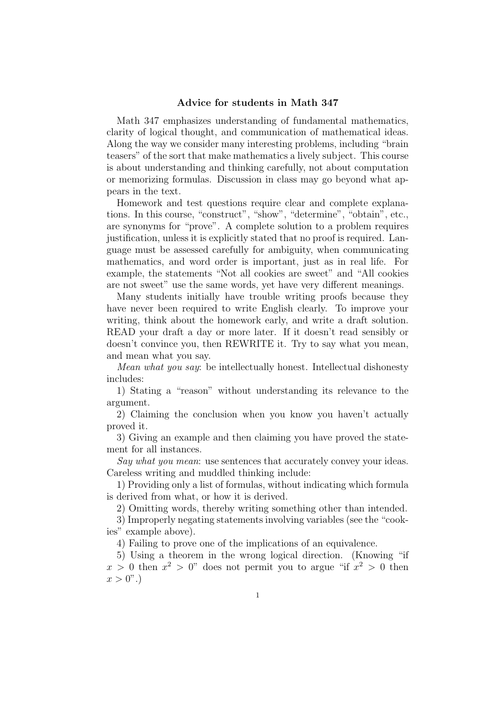## Advice for students in Math 347

Math 347 emphasizes understanding of fundamental mathematics, clarity of logical thought, and communication of mathematical ideas. Along the way we consider many interesting problems, including "brain teasers" of the sort that make mathematics a lively subject. This course is about understanding and thinking carefully, not about computation or memorizing formulas. Discussion in class may go beyond what appears in the text.

Homework and test questions require clear and complete explanations. In this course, "construct", "show", "determine", "obtain", etc., are synonyms for "prove". A complete solution to a problem requires justification, unless it is explicitly stated that no proof is required. Language must be assessed carefully for ambiguity, when communicating mathematics, and word order is important, just as in real life. For example, the statements "Not all cookies are sweet" and "All cookies are not sweet" use the same words, yet have very different meanings.

Many students initially have trouble writing proofs because they have never been required to write English clearly. To improve your writing, think about the homework early, and write a draft solution. READ your draft a day or more later. If it doesn't read sensibly or doesn't convince you, then REWRITE it. Try to say what you mean, and mean what you say.

Mean what you say: be intellectually honest. Intellectual dishonesty includes:

1) Stating a "reason" without understanding its relevance to the argument.

2) Claiming the conclusion when you know you haven't actually proved it.

3) Giving an example and then claiming you have proved the statement for all instances.

Say what you mean: use sentences that accurately convey your ideas. Careless writing and muddled thinking include:

1) Providing only a list of formulas, without indicating which formula is derived from what, or how it is derived.

2) Omitting words, thereby writing something other than intended.

3) Improperly negating statements involving variables (see the "cookies" example above).

4) Failing to prove one of the implications of an equivalence.

5) Using a theorem in the wrong logical direction. (Knowing "if  $x > 0$  then  $x^2 > 0$ " does not permit you to argue "if  $x^2 > 0$  then  $x > 0$ ".)